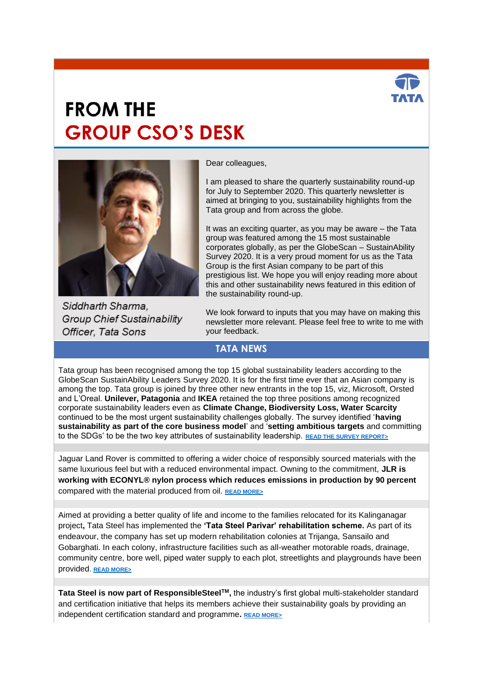

# **FROM THE GROUP CSO'S DESK**



Siddharth Sharma, **Group Chief Sustainability** Officer, Tata Sons

Dear colleagues,

I am pleased to share the quarterly sustainability round-up for July to September 2020. This quarterly newsletter is aimed at bringing to you, sustainability highlights from the Tata group and from across the globe.

It was an exciting quarter, as you may be aware – the Tata group was featured among the 15 most sustainable corporates globally, as per the GlobeScan – SustainAbility Survey 2020. It is a very proud moment for us as the Tata Group is the first Asian company to be part of this prestigious list. We hope you will enjoy reading more about this and other sustainability news featured in this edition of the sustainability round-up.

We look forward to inputs that you may have on making this newsletter more relevant. Please feel free to write to me with your feedback.

## **TATA NEWS**

Tata group has been recognised among the top 15 global sustainability leaders according to the GlobeScan SustainAbility Leaders Survey 2020. It is for the first time ever that an Asian company is among the top. Tata group is joined by three other new entrants in the top 15, viz, Microsoft, Orsted and L'Oreal. **Unilever, Patagonia** and **IKEA** retained the top three positions among recognized corporate sustainability leaders even as **Climate Change, Biodiversity Loss, Water Scarcity** continued to be the most urgent sustainability challenges globally. The survey identified '**having sustainability as part of the core business model**' and '**setting ambitious targets** and committing to the SDGs' to be the two key attributes of sustainability leadership. **[READ THE SURVEY REPORT>](https://www.sustainability.com/thinking/the-2020-sustainability-leaders/)**

Jaguar Land Rover is committed to offering a wider choice of responsibly sourced materials with the same luxurious feel but with a reduced environmental impact. Owning to the commitment, **JLR is working with ECONYL® nylon process which reduces emissions in production by 90 percent** compared with the material produced from oil. **[READ MORE>](https://www.tataworld.com/news/openinside/jaguar-land-rover-to-use-plastic-waste-sustainable-luxury-interiors)**

Aimed at providing a better quality of life and income to the families relocated for its Kalinganagar project**,** Tata Steel has implemented the **'Tata Steel Parivar' rehabilitation scheme.** As part of its endeavour, the company has set up modern rehabilitation colonies at Trijanga, Sansailo and Gobarghati. In each colony, infrastructure facilities such as all-weather motorable roads, drainage, community centre, bore well, piped water supply to each plot, streetlights and playgrounds have been provided. **[READ MORE>](https://www.tataworld.com/news/openinside/tata-steel-parivar-plan-for-model-resettlement-and-rehabilitation)**

**Tata Steel is now part of ResponsibleSteelTM,** the industry's first global multi-stakeholder standard and certification initiative that helps its members achieve their sustainability goals by providing an independent certification standard and programme**. [READ MORE>](https://www.tataworld.com/news/openinside/tata-steel-joins-responsible-steel)**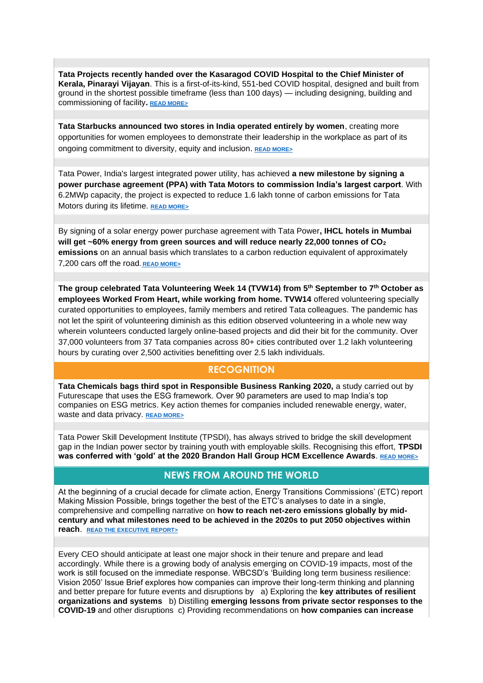**Tata Projects recently handed over the Kasaragod COVID Hospital to the Chief Minister of Kerala, Pinarayi Vijayan**. This is a first-of-its-kind, 551-bed COVID hospital, designed and built from ground in the shortest possible timeframe (less than 100 days) — including designing, building and commissioning of facility**. [READ MORE>](https://www.tataworld.com/news/openinside/tata-projects-hands-over-kasaragod-covid-hospital)** 

**Tata Starbucks announced two stores in India operated entirely by women**, creating more opportunities for women employees to demonstrate their leadership in the workplace as part of its ongoing commitment to diversity, equity and inclusion. **[READ MORE>](https://www.tataworld.com/news/openinside/tata-starbucks-opens-two-all-women-stores-in-india)**

Tata Power, India's largest integrated power utility, has achieved **a new milestone by signing a power purchase agreement (PPA) with Tata Motors to commission India's largest carport**. With 6.2MWp capacity, the project is expected to reduce 1.6 lakh tonne of carbon emissions for Tata Motors during its lifetime. **[READ MORE>](https://www.tataworld.com/news/openinside/tata-power-signs-a-ppa-with-tata-motors-for-carport)**

By signing of a solar energy power purchase agreement with Tata Power**, IHCL hotels in Mumbai will get ~60% energy from green sources and will reduce nearly 22,000 tonnes of CO<sup>2</sup> emissions** on an annual basis which translates to a carbon reduction equivalent of approximately 7,200 cars off the road. **[READ MORE>](https://www.tataworld.com/news/openinside/tata-power-solar-energy-for-ihcl-mumbai-hotels)**

**The group celebrated Tata Volunteering Week 14 (TVW14) from 5th September to 7th October as employees Worked From Heart, while working from home. TVW14** offered volunteering specially curated opportunities to employees, family members and retired Tata colleagues. The pandemic has not let the spirit of volunteering diminish as this edition observed volunteering in a whole new way wherein volunteers conducted largely online-based projects and did their bit for the community. Over 37,000 volunteers from 37 Tata companies across 80+ cities contributed over 1.2 lakh volunteering hours by curating over 2,500 activities benefitting over 2.5 lakh individuals.

### **RECOGNITION**

**Tata Chemicals bags third spot in Responsible Business Ranking 2020,** a study carried out by Futurescape that uses the ESG framework. Over 90 parameters are used to map India's top companies on ESG metrics. Key action themes for companies included renewable energy, water, waste and data privacy. **[READ MORE>](https://www.tataworld.com/news/openinside/tata-chemicals-bags-third-spot-in-responsible-business-ranking-2020)**

Tata Power Skill Development Institute (TPSDI), has always strived to bridge the skill development gap in the Indian power sector by training youth with employable skills. Recognising this effort, **TPSDI was conferred with 'gold' at the 2020 Brandon Hall Group HCM Excellence Awards**. **[READ MORE>](https://www.tataworld.com/news/openinside/tpsdi-wins-2020-brandon-hall-group-hcm-excellence-gold)**

### **NEWS FROM AROUND THE WORLD**

At the beginning of a crucial decade for climate action, Energy Transitions Commissions' (ETC) report Making Mission Possible, brings together the best of the ETC's analyses to date in a single, comprehensive and compelling narrative on **how to reach net-zero emissions globally by midcentury and what milestones need to be achieved in the 2020s to put 2050 objectives within reach**. **[READ THE EXECUTIVE REPORT>](https://www.energy-transitions.org/wp-content/uploads/2020/09/Making-Mission-Possible-Executive-Summary-English.pdf)**

Every CEO should anticipate at least one major shock in their tenure and prepare and lead accordingly. While there is a growing body of analysis emerging on COVID-19 impacts, most of the work is still focused on the immediate response. WBCSD's 'Building long term business resilience: Vision 2050' Issue Brief explores how companies can improve their long-term thinking and planning and better prepare for future events and disruptions by a) Exploring the **key attributes of resilient organizations and systems** b) Distilling **emerging lessons from private sector responses to the COVID-19** and other disruptions c) Providing recommendations on **how companies can increase**